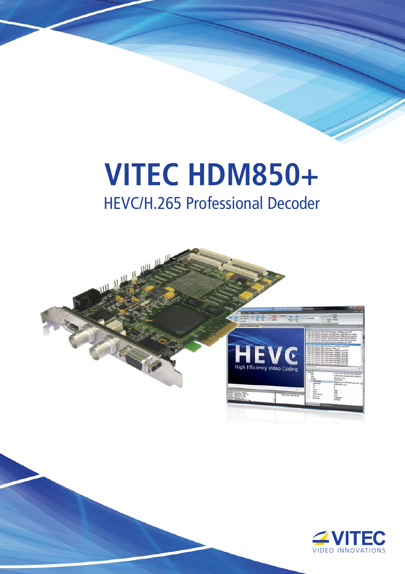## **VITEC HDM850+** HEVC/H.265 Professional Decoder